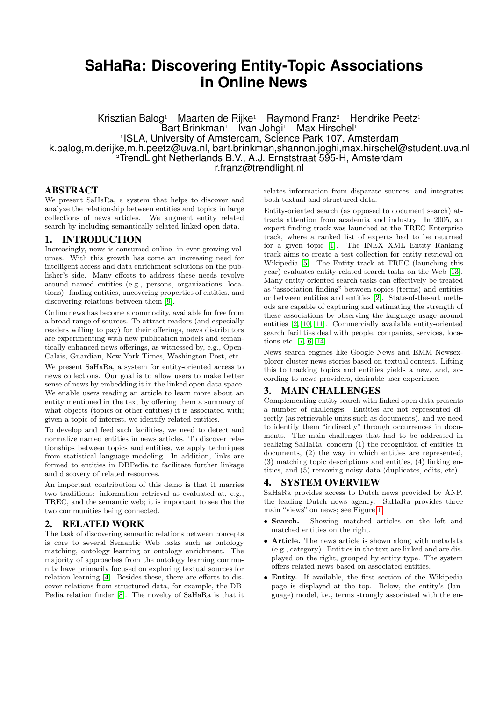# **SaHaRa: Discovering Entity-Topic Associations in Online News**

Krisztian Balog<sup>1</sup> Maarten de Rijke<sup>1</sup> Raymond Franz<sup>2</sup> Hendrike Peetz<sup>1</sup> Bart Brinkman<sup>1</sup> lvan Johgi<sup>1</sup> Max Hirschel<sup>1</sup> 1 ISLA, University of Amsterdam, Science Park 107, Amsterdam k.balog,m.derijke,m.h.peetz@uva.nl, bart.brinkman,shannon.joghi,max.hirschel@student.uva.nl <sup>2</sup>TrendLight Netherlands B.V., A.J. Ernststraat 595-H, Amsterdam r.franz@trendlight.nl

## ABSTRACT

We present SaHaRa, a system that helps to discover and analyze the relationship between entities and topics in large collections of news articles. We augment entity related search by including semantically related linked open data.

## 1. INTRODUCTION

Increasingly, news is consumed online, in ever growing volumes. With this growth has come an increasing need for intelligent access and data enrichment solutions on the publisher's side. Many efforts to address these needs revolve around named entities (e.g., persons, organizations, locations): finding entities, uncovering properties of entities, and discovering relations between them [\[9\]](#page-1-0).

Online news has become a commodity, available for free from a broad range of sources. To attract readers (and especially readers willing to pay) for their offerings, news distributors are experimenting with new publication models and semantically enhanced news offerings, as witnessed by, e.g., Open-Calais, Guardian, New York Times, Washington Post, etc.

We present SaHaRa, a system for entity-oriented access to news collections. Our goal is to allow users to make better sense of news by embedding it in the linked open data space. We enable users reading an article to learn more about an entity mentioned in the text by offering them a summary of what objects (topics or other entities) it is associated with; given a topic of interest, we identify related entities.

To develop and feed such facilities, we need to detect and normalize named entities in news articles. To discover relationships between topics and entities, we apply techniques from statistical language modeling. In addition, links are formed to entities in DBPedia to facilitate further linkage and discovery of related resources.

An important contribution of this demo is that it marries two traditions: information retrieval as evaluated at, e.g., TREC, and the semantic web; it is important to see the the two communities being connected.

## 2. RELATED WORK

The task of discovering semantic relations between concepts is core to several Semantic Web tasks such as ontology matching, ontology learning or ontology enrichment. The majority of approaches from the ontology learning community have primarily focused on exploring textual sources for relation learning [\[4\]](#page-1-1). Besides these, there are efforts to discover relations from structured data, for example, the DB-Pedia relation finder [\[8\]](#page-1-2). The novelty of SaHaRa is that it

relates information from disparate sources, and integrates both textual and structured data.

Entity-oriented search (as opposed to document search) attracts attention from academia and industry. In 2005, an expert finding track was launched at the TREC Enterprise track, where a ranked list of experts had to be returned for a given topic [\[1\]](#page-1-3). The INEX XML Entity Ranking track aims to create a test collection for entity retrieval on Wikipedia [\[5\]](#page-1-4). The Entity track at TREC (launching this year) evaluates entity-related search tasks on the Web [\[13\]](#page-1-5). Many entity-oriented search tasks can effectively be treated as "association finding" between topics (terms) and entities or between entities and entities [\[2\]](#page-1-6). State-of-the-art methods are capable of capturing and estimating the strength of these associations by observing the language usage around entities [\[2,](#page-1-6) [10,](#page-1-7) [11\]](#page-1-8). Commercially available entity-oriented search facilities deal with people, companies, services, locations etc. [\[7,](#page-1-9) [6,](#page-1-10) [14\]](#page-1-11).

News search engines like Google News and EMM Newsexplorer cluster news stories based on textual content. Lifting this to tracking topics and entities yields a new, and, according to news providers, desirable user experience.

## 3. MAIN CHALLENGES

Complementing entity search with linked open data presents a number of challenges. Entities are not represented directly (as retrievable units such as documents), and we need to identify them "indirectly" through occurrences in documents. The main challenges that had to be addressed in realizing SaHaRa, concern (1) the recognition of entities in documents, (2) the way in which entities are represented, (3) matching topic descriptions and entities, (4) linking entities, and (5) removing noisy data (duplicates, edits, etc).

## 4. SYSTEM OVERVIEW

SaHaRa provides access to Dutch news provided by ANP, the leading Dutch news agency. SaHaRa provides three main "views" on news; see Figure [1.](#page-1-12)

- Search. Showing matched articles on the left and matched entities on the right.
- Article. The news article is shown along with metadata (e.g., category). Entities in the text are linked and are displayed on the right, grouped by entity type. The system offers related news based on associated entities.
- Entity. If available, the first section of the Wikipedia page is displayed at the top. Below, the entity's (language) model, i.e., terms strongly associated with the en-